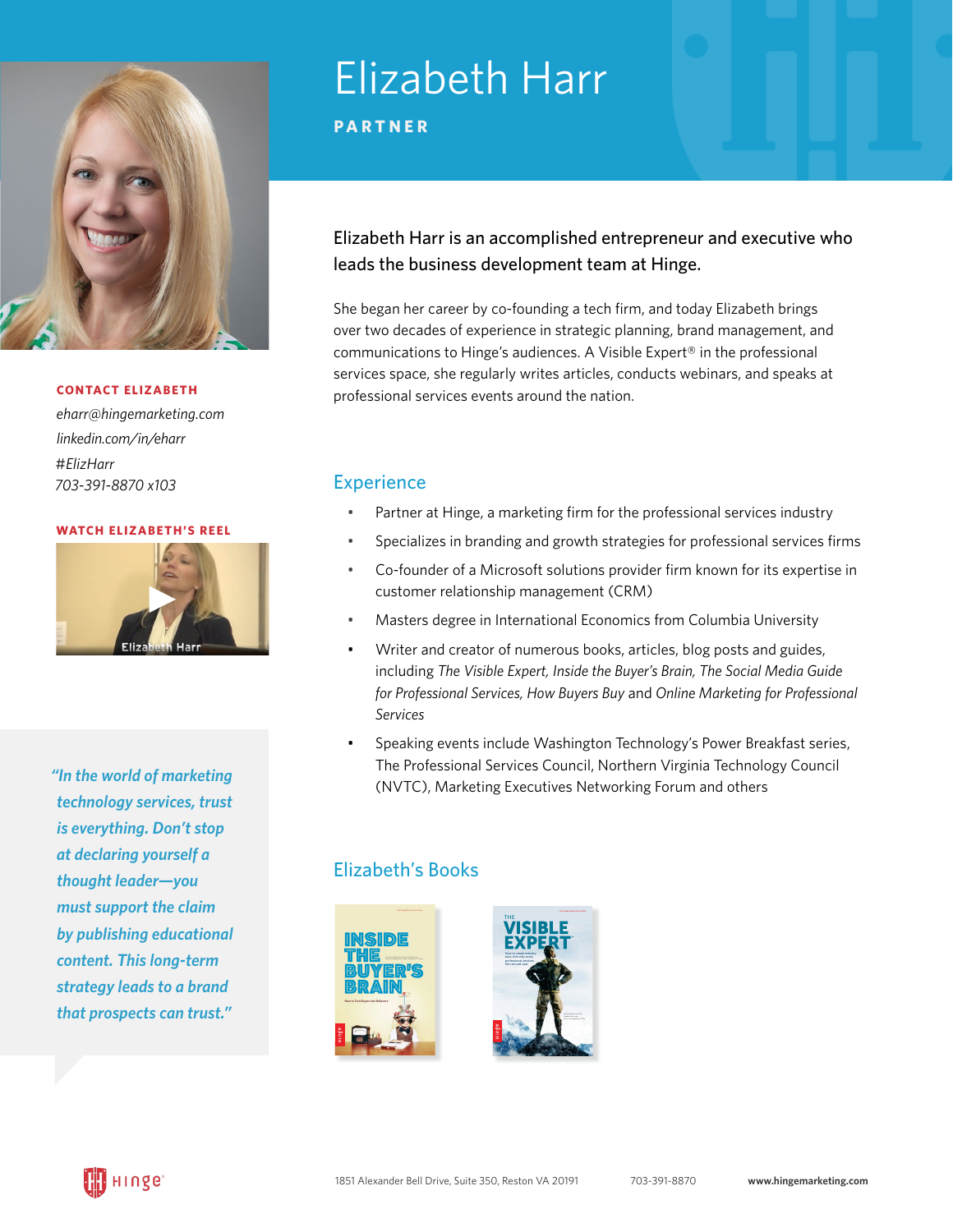

*eharr[@hingemarketing.com](mailto:eharr%40hingemarketing.com%20?subject=) [linkedin.com/in/eharr](https://linkedin.com/in/eharr)* #*[ElizHarr](https://twitter.com/#!/ElizHarr) 703-391-8870 x103*

#### **[WATCH ELIZABETH'S REEL](https://hingemarketing.com/wp-content/uploads/2012/04/Liz-speaks.mp4)**



*"In the world of marketing technology services, trust is everything. Don't stop at declaring yourself a thought leader—you must support the claim by publishing educational content. This long-term strategy leads to a brand that prospects can trust."*

# Elizabeth Harr

**PARTNER**

### Elizabeth Harr is an accomplished entrepreneur and executive who leads the business development team at Hinge.

She began her career by co-founding a tech firm, and today Elizabeth brings over two decades of experience in strategic planning, brand management, and communications to Hinge's audiences. A Visible Expert® in the professional services space, she regularly writes articles, conducts webinars, and speaks at professional services events around the nation. **CONTACT ELIZABETH**

### **Experience**

- Partner at Hinge, a marketing firm for the professional services industry
- Specializes in branding and growth strategies for professional services firms
- Co-founder of a Microsoft solutions provider firm known for its expertise in customer relationship management (CRM)
- Masters degree in International Economics from Columbia University
- Writer and creator of numerous books, articles, blog posts and guides, including *The Visible Expert, Inside the Buyer's Brain, The Social Media Guide for Professional Services, How Buyers Buy* and *Online Marketing for Professional Services*
- Speaking events include Washington Technology's Power Breakfast series, The Professional Services Council, Northern Virginia Technology Council (NVTC), Marketing Executives Networking Forum and others

### Elizabeth's Books



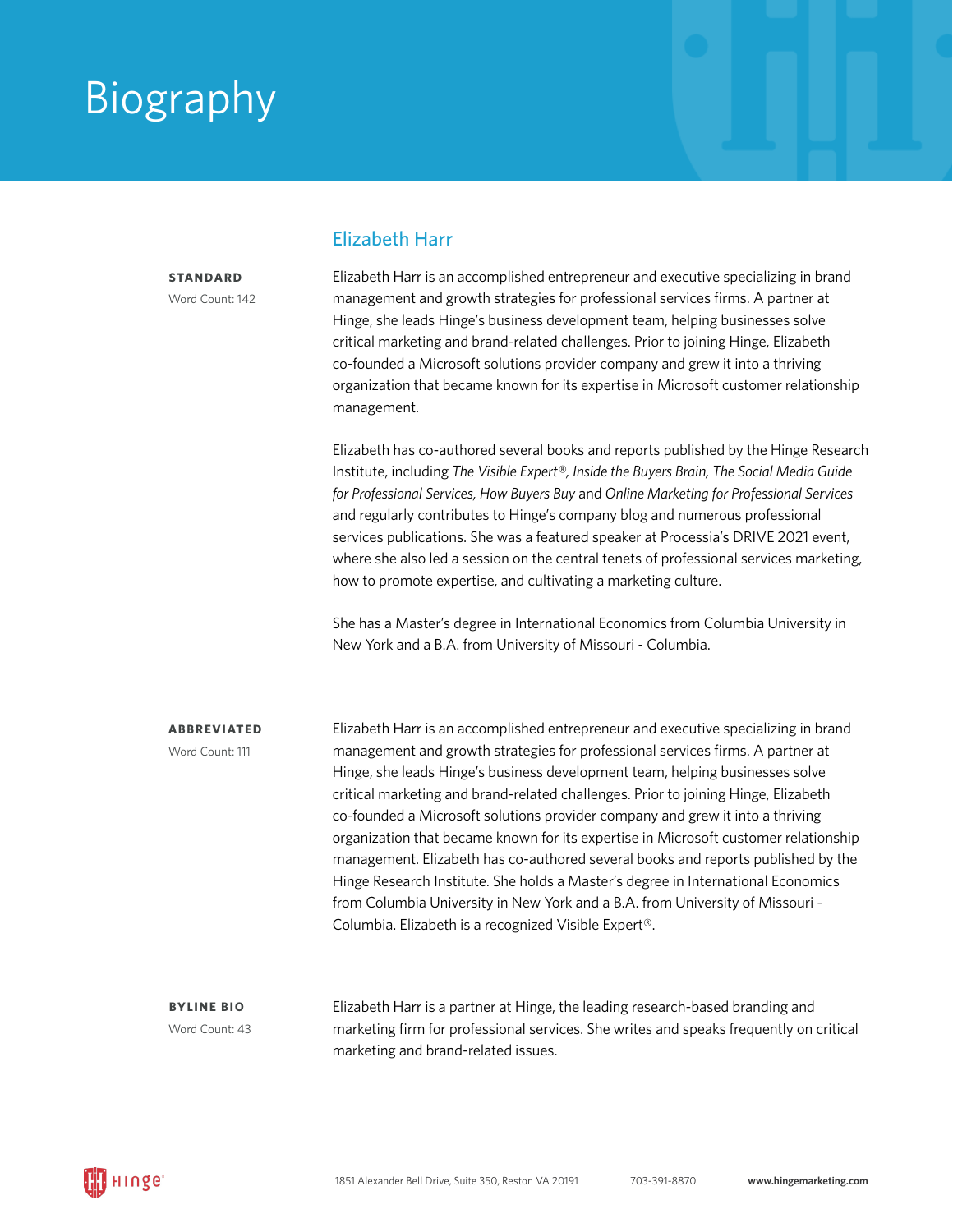### Biography

**STANDARD** Word Count: 142

### Elizabeth Harr

Elizabeth Harr is an accomplished entrepreneur and executive specializing in brand management and growth strategies for professional services firms. A partner at Hinge, she leads Hinge's business development team, helping businesses solve critical marketing and brand-related challenges. Prior to joining Hinge, Elizabeth co-founded a Microsoft solutions provider company and grew it into a thriving organization that became known for its expertise in Microsoft customer relationship management.

Elizabeth has co-authored several books and reports published by the Hinge Research Institute, including *The Visible Expert®, Inside the Buyers Brain, The Social Media Guide for Professional Services, How Buyers Buy* and *Online Marketing for Professional Services* and regularly contributes to Hinge's company blog and numerous professional services publications. She was a featured speaker at Processia's DRIVE 2021 event, where she also led a session on the central tenets of professional services marketing, how to promote expertise, and cultivating a marketing culture.

She has a Master's degree in International Economics from Columbia University in New York and a B.A. from University of Missouri - Columbia.

**ABBREVIATED**

Word Count: 111

Elizabeth Harr is an accomplished entrepreneur and executive specializing in brand management and growth strategies for professional services firms. A partner at Hinge, she leads Hinge's business development team, helping businesses solve critical marketing and brand-related challenges. Prior to joining Hinge, Elizabeth co-founded a Microsoft solutions provider company and grew it into a thriving organization that became known for its expertise in Microsoft customer relationship management. Elizabeth has co-authored several books and reports published by the Hinge Research Institute. She holds a Master's degree in International Economics from Columbia University in New York and a B.A. from University of Missouri - Columbia. Elizabeth is a recognized Visible Expert®.

**BYLINE BIO**  Word Count: 43 Elizabeth Harr is a partner at Hinge, the leading research-based branding and marketing firm for professional services. She writes and speaks frequently on critical marketing and brand-related issues.

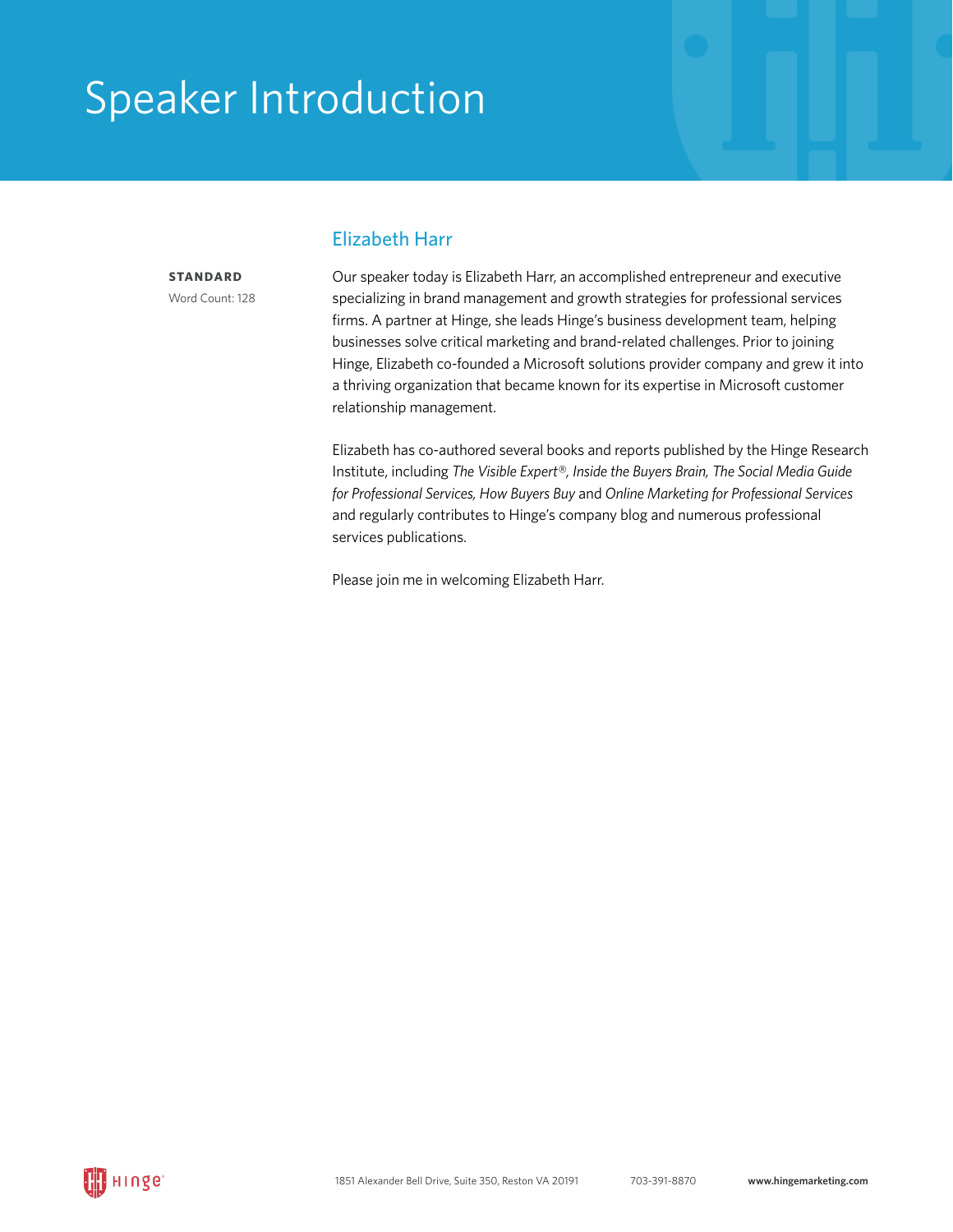## Speaker Introduction

**STANDARD**

Word Count: 128

### Elizabeth Harr

Our speaker today is Elizabeth Harr, an accomplished entrepreneur and executive specializing in brand management and growth strategies for professional services firms. A partner at Hinge, she leads Hinge's business development team, helping businesses solve critical marketing and brand-related challenges. Prior to joining Hinge, Elizabeth co-founded a Microsoft solutions provider company and grew it into a thriving organization that became known for its expertise in Microsoft customer relationship management.

Elizabeth has co-authored several books and reports published by the Hinge Research Institute, including *The Visible Expert®, Inside the Buyers Brain, The Social Media Guide for Professional Services, How Buyers Buy* and *Online Marketing for Professional Services* and regularly contributes to Hinge's company blog and numerous professional services publications.

Please join me in welcoming Elizabeth Harr.